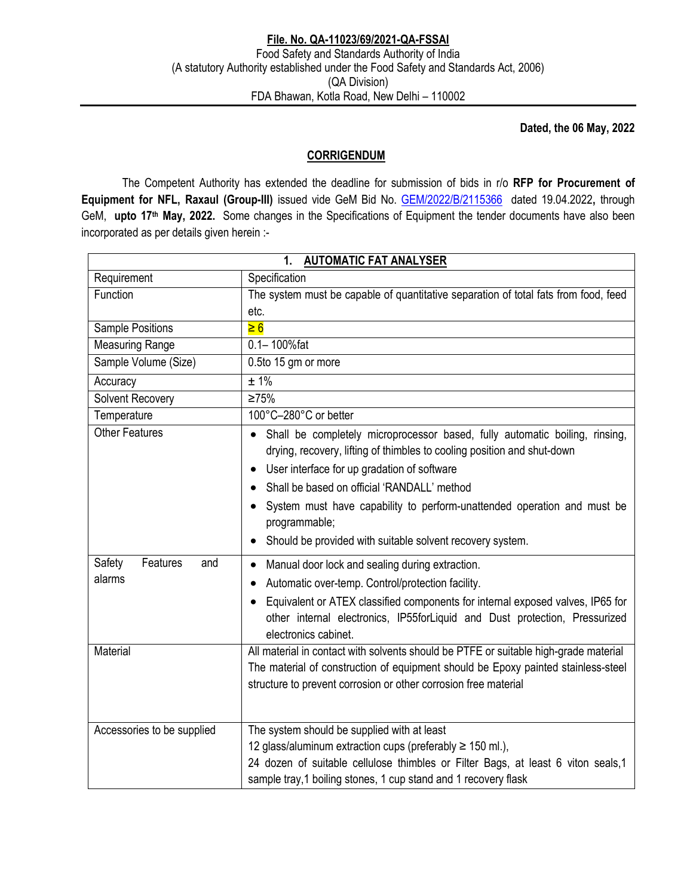**Dated, the 06 May, 2022** 

## **CORRIGENDUM**

 The Competent Authority has extended the deadline for submission of bids in r/o **RFP for Procurement of Equipment for NFL, Raxaul (Group-III)** issued vide GeM Bid No. GEM/2022/B/2115366 dated 19.04.2022**,** through GeM, **upto 17th May, 2022.** Some changes in the Specifications of Equipment the tender documents have also been incorporated as per details given herein :-

|                                     | <b>AUTOMATIC FAT ANALYSER</b><br>1.                                                                                                                                                                                                                                                                                                                                                                                |  |  |  |  |  |  |
|-------------------------------------|--------------------------------------------------------------------------------------------------------------------------------------------------------------------------------------------------------------------------------------------------------------------------------------------------------------------------------------------------------------------------------------------------------------------|--|--|--|--|--|--|
| Requirement                         | Specification                                                                                                                                                                                                                                                                                                                                                                                                      |  |  |  |  |  |  |
| Function                            | The system must be capable of quantitative separation of total fats from food, feed                                                                                                                                                                                                                                                                                                                                |  |  |  |  |  |  |
|                                     | etc.                                                                                                                                                                                                                                                                                                                                                                                                               |  |  |  |  |  |  |
| Sample Positions                    | $\geq 6$                                                                                                                                                                                                                                                                                                                                                                                                           |  |  |  |  |  |  |
| <b>Measuring Range</b>              | $0.1 - 100%$ fat                                                                                                                                                                                                                                                                                                                                                                                                   |  |  |  |  |  |  |
| Sample Volume (Size)                | 0.5to 15 gm or more                                                                                                                                                                                                                                                                                                                                                                                                |  |  |  |  |  |  |
| Accuracy                            | ± 1%                                                                                                                                                                                                                                                                                                                                                                                                               |  |  |  |  |  |  |
| Solvent Recovery                    | ≥75%                                                                                                                                                                                                                                                                                                                                                                                                               |  |  |  |  |  |  |
| Temperature                         | 100°C-280°C or better                                                                                                                                                                                                                                                                                                                                                                                              |  |  |  |  |  |  |
| <b>Other Features</b>               | Shall be completely microprocessor based, fully automatic boiling, rinsing,<br>drying, recovery, lifting of thimbles to cooling position and shut-down<br>User interface for up gradation of software<br>٠<br>Shall be based on official 'RANDALL' method<br>System must have capability to perform-unattended operation and must be<br>programmable;<br>Should be provided with suitable solvent recovery system. |  |  |  |  |  |  |
| Safety<br>Features<br>and<br>alarms | Manual door lock and sealing during extraction.<br>Automatic over-temp. Control/protection facility.<br>Equivalent or ATEX classified components for internal exposed valves, IP65 for<br>$\bullet$<br>other internal electronics, IP55forLiquid and Dust protection, Pressurized<br>electronics cabinet.                                                                                                          |  |  |  |  |  |  |
| <b>Material</b>                     | All material in contact with solvents should be PTFE or suitable high-grade material<br>The material of construction of equipment should be Epoxy painted stainless-steel<br>structure to prevent corrosion or other corrosion free material                                                                                                                                                                       |  |  |  |  |  |  |
| Accessories to be supplied          | The system should be supplied with at least<br>12 glass/aluminum extraction cups (preferably ≥ 150 ml.),<br>24 dozen of suitable cellulose thimbles or Filter Bags, at least 6 viton seals, 1<br>sample tray, 1 boiling stones, 1 cup stand and 1 recovery flask                                                                                                                                                   |  |  |  |  |  |  |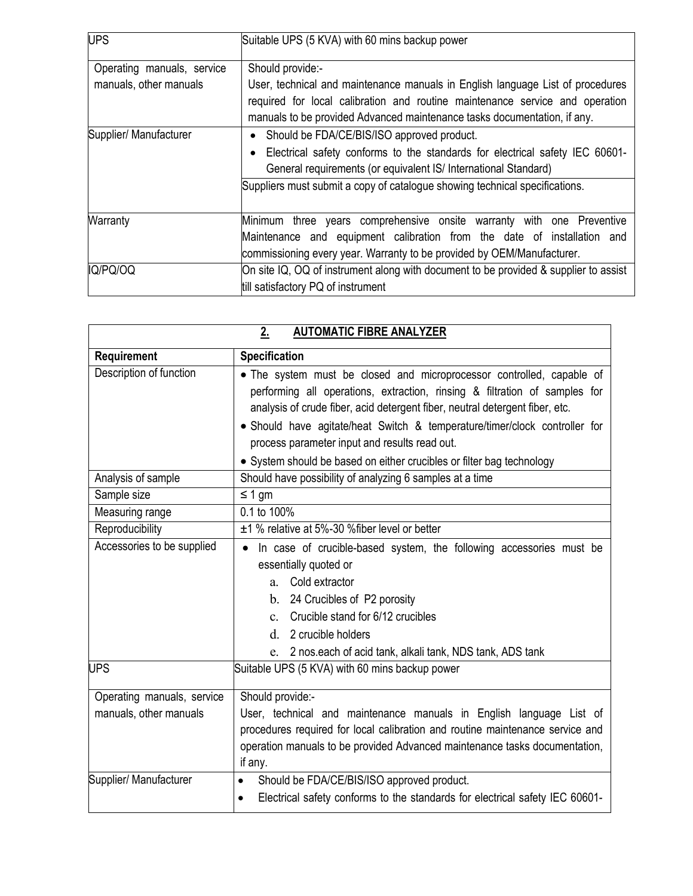| <b>UPS</b>                 | Suitable UPS (5 KVA) with 60 mins backup power                                       |  |  |  |  |  |  |  |
|----------------------------|--------------------------------------------------------------------------------------|--|--|--|--|--|--|--|
|                            |                                                                                      |  |  |  |  |  |  |  |
| Operating manuals, service | Should provide:-                                                                     |  |  |  |  |  |  |  |
| manuals, other manuals     | User, technical and maintenance manuals in English language List of procedures       |  |  |  |  |  |  |  |
|                            | required for local calibration and routine maintenance service and operation         |  |  |  |  |  |  |  |
|                            | manuals to be provided Advanced maintenance tasks documentation, if any.             |  |  |  |  |  |  |  |
| Supplier/ Manufacturer     | Should be FDA/CE/BIS/ISO approved product.                                           |  |  |  |  |  |  |  |
|                            | Electrical safety conforms to the standards for electrical safety IEC 60601-         |  |  |  |  |  |  |  |
|                            | General requirements (or equivalent IS/ International Standard)                      |  |  |  |  |  |  |  |
|                            | Suppliers must submit a copy of catalogue showing technical specifications.          |  |  |  |  |  |  |  |
|                            |                                                                                      |  |  |  |  |  |  |  |
| Warranty                   | Minimum three years comprehensive onsite warranty with one Preventive                |  |  |  |  |  |  |  |
|                            | Maintenance and equipment calibration from the date of installation and              |  |  |  |  |  |  |  |
|                            | commissioning every year. Warranty to be provided by OEM/Manufacturer.               |  |  |  |  |  |  |  |
| IQ/PQ/OQ                   | On site IQ, OQ of instrument along with document to be provided & supplier to assist |  |  |  |  |  |  |  |
|                            | till satisfactory PQ of instrument                                                   |  |  |  |  |  |  |  |

| <b>AUTOMATIC FIBRE ANALYZER</b><br>2.                |                                                                                                                                                                                                                                                                                                                                                                    |  |  |  |  |  |  |
|------------------------------------------------------|--------------------------------------------------------------------------------------------------------------------------------------------------------------------------------------------------------------------------------------------------------------------------------------------------------------------------------------------------------------------|--|--|--|--|--|--|
| Requirement                                          | Specification                                                                                                                                                                                                                                                                                                                                                      |  |  |  |  |  |  |
| Description of function                              | • The system must be closed and microprocessor controlled, capable of<br>performing all operations, extraction, rinsing & filtration of samples for<br>analysis of crude fiber, acid detergent fiber, neutral detergent fiber, etc.<br>• Should have agitate/heat Switch & temperature/timer/clock controller for<br>process parameter input and results read out. |  |  |  |  |  |  |
|                                                      | • System should be based on either crucibles or filter bag technology                                                                                                                                                                                                                                                                                              |  |  |  |  |  |  |
| Analysis of sample                                   | Should have possibility of analyzing 6 samples at a time                                                                                                                                                                                                                                                                                                           |  |  |  |  |  |  |
| Sample size                                          | ≤ 1 gm                                                                                                                                                                                                                                                                                                                                                             |  |  |  |  |  |  |
| Measuring range                                      | 0.1 to 100%                                                                                                                                                                                                                                                                                                                                                        |  |  |  |  |  |  |
| Reproducibility                                      | ±1 % relative at 5%-30 % fiber level or better                                                                                                                                                                                                                                                                                                                     |  |  |  |  |  |  |
| Accessories to be supplied                           | In case of crucible-based system, the following accessories must be<br>$\bullet$<br>essentially quoted or<br>Cold extractor<br>$a_{-}$<br>b. 24 Crucibles of P2 porosity<br>Crucible stand for 6/12 crucibles<br>$c_{-}$<br>d.<br>2 crucible holders<br>2 nos.each of acid tank, alkali tank, NDS tank, ADS tank<br>e.                                             |  |  |  |  |  |  |
| <b>UPS</b>                                           | Suitable UPS (5 KVA) with 60 mins backup power                                                                                                                                                                                                                                                                                                                     |  |  |  |  |  |  |
| Operating manuals, service<br>manuals, other manuals | Should provide:-<br>User, technical and maintenance manuals in English language List of<br>procedures required for local calibration and routine maintenance service and<br>operation manuals to be provided Advanced maintenance tasks documentation,<br>if any.                                                                                                  |  |  |  |  |  |  |
| Supplier/ Manufacturer                               | Should be FDA/CE/BIS/ISO approved product.<br>$\bullet$<br>Electrical safety conforms to the standards for electrical safety IEC 60601-<br>$\bullet$                                                                                                                                                                                                               |  |  |  |  |  |  |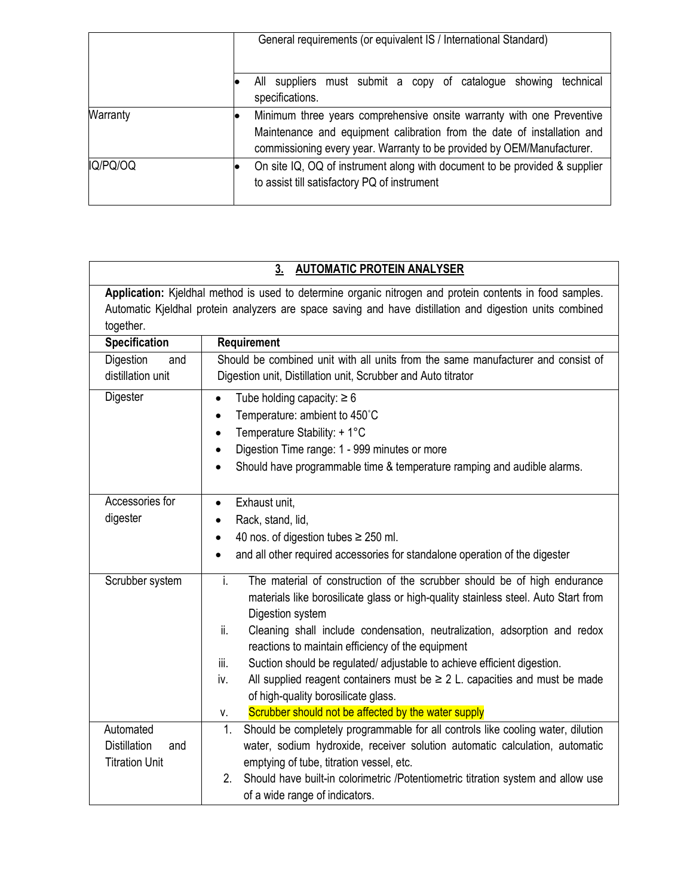|          | General requirements (or equivalent IS / International Standard)                                                                                                                                                           |  |  |  |  |  |  |  |
|----------|----------------------------------------------------------------------------------------------------------------------------------------------------------------------------------------------------------------------------|--|--|--|--|--|--|--|
|          | technical<br>suppliers must submit a copy of catalogue showing<br>All<br>specifications.                                                                                                                                   |  |  |  |  |  |  |  |
| Warranty | Minimum three years comprehensive onsite warranty with one Preventive<br>Maintenance and equipment calibration from the date of installation and<br>commissioning every year. Warranty to be provided by OEM/Manufacturer. |  |  |  |  |  |  |  |
| IQ/PQ/OQ | On site IQ, OQ of instrument along with document to be provided & supplier<br>to assist till satisfactory PQ of instrument                                                                                                 |  |  |  |  |  |  |  |

|                                                                  | <b>AUTOMATIC PROTEIN ANALYSER</b><br>3 <sub>1</sub>                                                                                                                                                                                                                                                                                                                                                                                                                                                                                                                                                                |  |  |  |  |  |  |
|------------------------------------------------------------------|--------------------------------------------------------------------------------------------------------------------------------------------------------------------------------------------------------------------------------------------------------------------------------------------------------------------------------------------------------------------------------------------------------------------------------------------------------------------------------------------------------------------------------------------------------------------------------------------------------------------|--|--|--|--|--|--|
| together.                                                        | Application: Kjeldhal method is used to determine organic nitrogen and protein contents in food samples.<br>Automatic Kjeldhal protein analyzers are space saving and have distillation and digestion units combined                                                                                                                                                                                                                                                                                                                                                                                               |  |  |  |  |  |  |
| Specification                                                    | Requirement                                                                                                                                                                                                                                                                                                                                                                                                                                                                                                                                                                                                        |  |  |  |  |  |  |
| Digestion<br>and<br>distillation unit                            | Should be combined unit with all units from the same manufacturer and consist of<br>Digestion unit, Distillation unit, Scrubber and Auto titrator                                                                                                                                                                                                                                                                                                                                                                                                                                                                  |  |  |  |  |  |  |
| Digester                                                         | Tube holding capacity: $\geq 6$<br>$\bullet$<br>Temperature: ambient to 450°C<br>Temperature Stability: + 1°C<br>$\bullet$<br>Digestion Time range: 1 - 999 minutes or more<br>Should have programmable time & temperature ramping and audible alarms.                                                                                                                                                                                                                                                                                                                                                             |  |  |  |  |  |  |
| Accessories for<br>digester                                      | Exhaust unit,<br>$\bullet$<br>Rack, stand, lid,<br>40 nos. of digestion tubes $\geq$ 250 ml.<br>and all other required accessories for standalone operation of the digester                                                                                                                                                                                                                                                                                                                                                                                                                                        |  |  |  |  |  |  |
| Scrubber system                                                  | i.<br>The material of construction of the scrubber should be of high endurance<br>materials like borosilicate glass or high-quality stainless steel. Auto Start from<br>Digestion system<br>ii.<br>Cleaning shall include condensation, neutralization, adsorption and redox<br>reactions to maintain efficiency of the equipment<br>Suction should be regulated/ adjustable to achieve efficient digestion.<br>iii.<br>All supplied reagent containers must be $\geq 2$ L. capacities and must be made<br>iv.<br>of high-quality borosilicate glass.<br>Scrubber should not be affected by the water supply<br>V. |  |  |  |  |  |  |
| Automated<br><b>Distillation</b><br>and<br><b>Titration Unit</b> | Should be completely programmable for all controls like cooling water, dilution<br>1.<br>water, sodium hydroxide, receiver solution automatic calculation, automatic<br>emptying of tube, titration vessel, etc.<br>2.<br>Should have built-in colorimetric /Potentiometric titration system and allow use                                                                                                                                                                                                                                                                                                         |  |  |  |  |  |  |

of a wide range of indicators.

## **3. AUTOMATIC PROTEIN ANALYSER**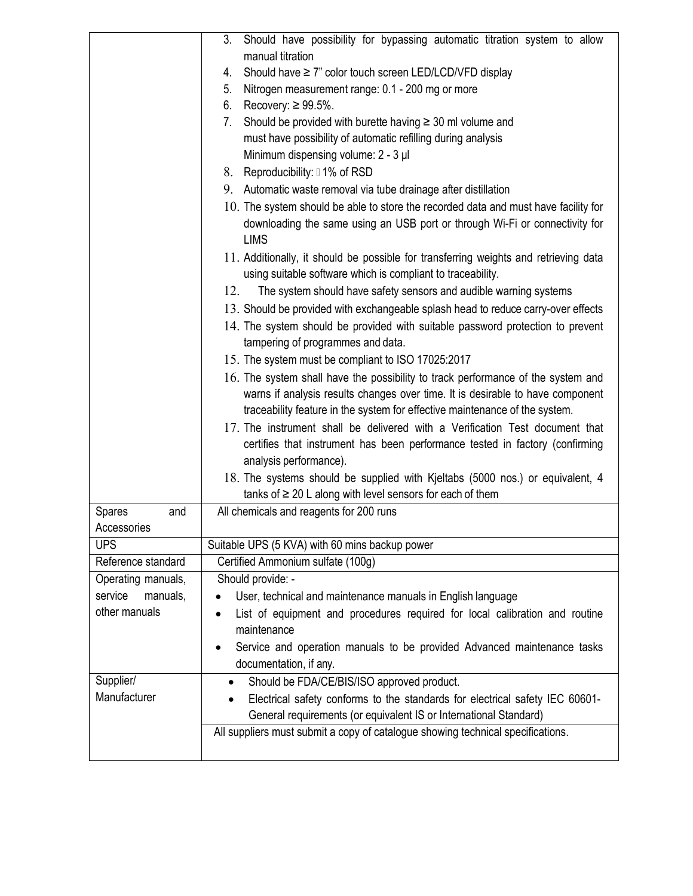|                      | Should have possibility for bypassing automatic titration system to allow<br>3.                   |  |  |  |  |  |  |
|----------------------|---------------------------------------------------------------------------------------------------|--|--|--|--|--|--|
|                      | manual titration                                                                                  |  |  |  |  |  |  |
|                      | Should have ≥ 7" color touch screen LED/LCD/VFD display<br>4.                                     |  |  |  |  |  |  |
|                      | Nitrogen measurement range: 0.1 - 200 mg or more<br>5.                                            |  |  |  |  |  |  |
|                      | Recovery: $\geq 99.5\%$ .<br>6.                                                                   |  |  |  |  |  |  |
|                      | Should be provided with burette having $\geq$ 30 ml volume and<br>7.                              |  |  |  |  |  |  |
|                      | must have possibility of automatic refilling during analysis                                      |  |  |  |  |  |  |
|                      | Minimum dispensing volume: 2 - 3 µl                                                               |  |  |  |  |  |  |
|                      | 8. Reproducibility: 01% of RSD                                                                    |  |  |  |  |  |  |
|                      | 9. Automatic waste removal via tube drainage after distillation                                   |  |  |  |  |  |  |
|                      | 10. The system should be able to store the recorded data and must have facility for               |  |  |  |  |  |  |
|                      | downloading the same using an USB port or through Wi-Fi or connectivity for<br><b>LIMS</b>        |  |  |  |  |  |  |
|                      | 11. Additionally, it should be possible for transferring weights and retrieving data              |  |  |  |  |  |  |
|                      | using suitable software which is compliant to traceability.                                       |  |  |  |  |  |  |
|                      | 12.<br>The system should have safety sensors and audible warning systems                          |  |  |  |  |  |  |
|                      | 13. Should be provided with exchangeable splash head to reduce carry-over effects                 |  |  |  |  |  |  |
|                      | 14. The system should be provided with suitable password protection to prevent                    |  |  |  |  |  |  |
|                      | tampering of programmes and data.                                                                 |  |  |  |  |  |  |
|                      | 15. The system must be compliant to ISO 17025:2017                                                |  |  |  |  |  |  |
|                      | 16. The system shall have the possibility to track performance of the system and                  |  |  |  |  |  |  |
|                      | warns if analysis results changes over time. It is desirable to have component                    |  |  |  |  |  |  |
|                      | traceability feature in the system for effective maintenance of the system.                       |  |  |  |  |  |  |
|                      | 17. The instrument shall be delivered with a Verification Test document that                      |  |  |  |  |  |  |
|                      | certifies that instrument has been performance tested in factory (confirming                      |  |  |  |  |  |  |
|                      | analysis performance).                                                                            |  |  |  |  |  |  |
|                      | 18. The systems should be supplied with Kjeltabs (5000 nos.) or equivalent, 4                     |  |  |  |  |  |  |
|                      | tanks of $\geq 20$ L along with level sensors for each of them                                    |  |  |  |  |  |  |
| <b>Spares</b><br>and | All chemicals and reagents for 200 runs                                                           |  |  |  |  |  |  |
| Accessories          |                                                                                                   |  |  |  |  |  |  |
| <b>UPS</b>           | Suitable UPS (5 KVA) with 60 mins backup power                                                    |  |  |  |  |  |  |
| Reference standard   | Certified Ammonium sulfate (100g)                                                                 |  |  |  |  |  |  |
| Operating manuals,   | Should provide: -                                                                                 |  |  |  |  |  |  |
| service<br>manuals,  | User, technical and maintenance manuals in English language<br>$\bullet$                          |  |  |  |  |  |  |
| other manuals        | List of equipment and procedures required for local calibration and routine                       |  |  |  |  |  |  |
|                      | maintenance                                                                                       |  |  |  |  |  |  |
|                      | Service and operation manuals to be provided Advanced maintenance tasks<br>documentation, if any. |  |  |  |  |  |  |
| Supplier/            | Should be FDA/CE/BIS/ISO approved product.                                                        |  |  |  |  |  |  |
| Manufacturer         | Electrical safety conforms to the standards for electrical safety IEC 60601-                      |  |  |  |  |  |  |
|                      | General requirements (or equivalent IS or International Standard)                                 |  |  |  |  |  |  |
|                      | All suppliers must submit a copy of catalogue showing technical specifications.                   |  |  |  |  |  |  |
|                      |                                                                                                   |  |  |  |  |  |  |
|                      |                                                                                                   |  |  |  |  |  |  |